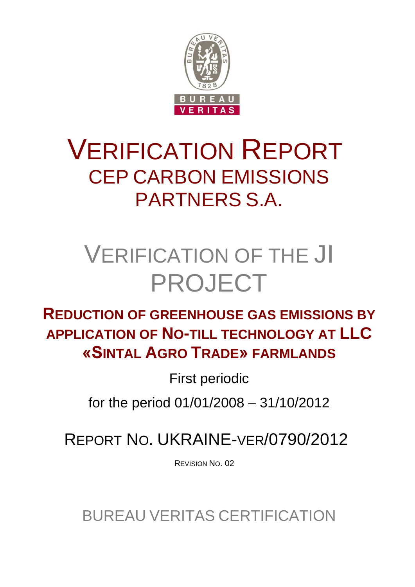

# VERIFICATION REPORT CEP CARBON EMISSIONS PARTNERS S.A.

# VERIFICATION OF THE JI PROJECT

# **REDUCTION OF GREENHOUSE GAS EMISSIONS BY APPLICATION OF NO-TILL TECHNOLOGY AT LLC «SINTAL AGRO TRADE» FARMLANDS**

First periodic

for the period 01/01/2008 – 31/10/2012

REPORT NO. UKRAINE-VER/0790/2012

REVISION NO. 02

BUREAU VERITAS CERTIFICATION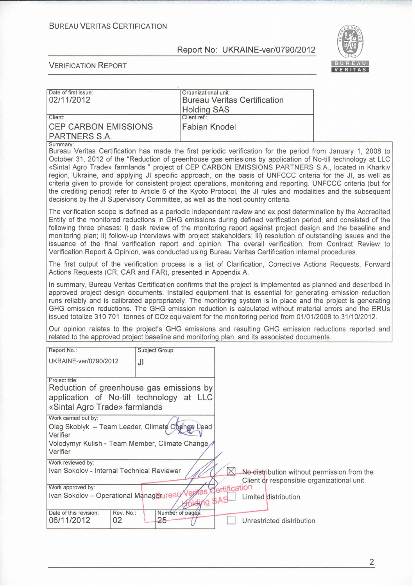#### **BUREAU VERITAS CERTIFICATION**

#### Report No: UKRAINE-ver/0790/2012



| Date of first issue:<br>02/11/2012                                                                                                                                                                                                                                                                                                                                                                                                                                                                                                                                                                                                                                                                                                                                     |                | Organizational unit:               |              | <b>Bureau Veritas Certification</b>       |                                             |
|------------------------------------------------------------------------------------------------------------------------------------------------------------------------------------------------------------------------------------------------------------------------------------------------------------------------------------------------------------------------------------------------------------------------------------------------------------------------------------------------------------------------------------------------------------------------------------------------------------------------------------------------------------------------------------------------------------------------------------------------------------------------|----------------|------------------------------------|--------------|-------------------------------------------|---------------------------------------------|
| Client:                                                                                                                                                                                                                                                                                                                                                                                                                                                                                                                                                                                                                                                                                                                                                                |                | <b>Holding SAS</b><br>Client ref.: |              |                                           |                                             |
| <b>CEP CARBON EMISSIONS</b>                                                                                                                                                                                                                                                                                                                                                                                                                                                                                                                                                                                                                                                                                                                                            |                | <b>Fabian Knodel</b>               |              |                                           |                                             |
| PARTNERS S.A.                                                                                                                                                                                                                                                                                                                                                                                                                                                                                                                                                                                                                                                                                                                                                          |                |                                    |              |                                           |                                             |
| Summary:                                                                                                                                                                                                                                                                                                                                                                                                                                                                                                                                                                                                                                                                                                                                                               |                |                                    |              |                                           |                                             |
| Bureau Veritas Certification has made the first periodic verification for the period from January 1, 2008 to<br>October 31, 2012 of the "Reduction of greenhouse gas emissions by application of No-till technology at LLC<br>«Sintal Agro Trade» farmlands " project of CEP CARBON EMISSIONS PARTNERS S.A., located in Kharkiv<br>region, Ukraine, and applying JI specific approach, on the basis of UNFCCC criteria for the JI, as well as<br>criteria given to provide for consistent project operations, monitoring and reporting. UNFCCC criteria (but for<br>the crediting period) refer to Article 6 of the Kyoto Protocol, the JI rules and modalities and the subsequent<br>decisions by the JI Supervisory Committee, as well as the host country criteria. |                |                                    |              |                                           |                                             |
| The verification scope is defined as a periodic independent review and ex post determination by the Accredited<br>Entity of the monitored reductions in GHG emissions during defined verification period, and consisted of the<br>following three phases: i) desk review of the monitoring report against project design and the baseline and<br>monitoring plan; ii) follow-up interviews with project stakeholders; iii) resolution of outstanding issues and the<br>issuance of the final verification report and opinion. The overall verification, from Contract Review to<br>Verification Report & Opinion, was conducted using Bureau Veritas Certification internal procedures.                                                                                |                |                                    |              |                                           |                                             |
| The first output of the verification process is a list of Clarification, Corrective Actions Requests, Forward<br>Actions Requests (CR, CAR and FAR), presented in Appendix A.                                                                                                                                                                                                                                                                                                                                                                                                                                                                                                                                                                                          |                |                                    |              |                                           |                                             |
| In summary, Bureau Veritas Certification confirms that the project is implemented as planned and described in<br>approved project design documents. Installed equipment that is essential for generating emission reduction<br>runs reliably and is calibrated appropriately. The monitoring system is in place and the project is generating<br>GHG emission reductions. The GHG emission reduction is calculated without material errors and the ERUs<br>issued totalize 310 701 tonnes of CO2 equivalent for the monitoring period from 01/01/2008 to 31/10/2012.                                                                                                                                                                                                   |                |                                    |              |                                           |                                             |
| Our opinion relates to the project's GHG emissions and resulting GHG emission reductions reported and<br>related to the approved project baseline and monitoring plan, and its associated documents.                                                                                                                                                                                                                                                                                                                                                                                                                                                                                                                                                                   |                |                                    |              |                                           |                                             |
| Report No.:                                                                                                                                                                                                                                                                                                                                                                                                                                                                                                                                                                                                                                                                                                                                                            | Subject Group: |                                    |              |                                           |                                             |
| UKRAINE-ver/0790/2012                                                                                                                                                                                                                                                                                                                                                                                                                                                                                                                                                                                                                                                                                                                                                  | JI             |                                    |              |                                           |                                             |
|                                                                                                                                                                                                                                                                                                                                                                                                                                                                                                                                                                                                                                                                                                                                                                        |                |                                    |              |                                           |                                             |
| Project title:<br>Reduction of greenhouse gas emissions by<br>application of No-till technology at LLC<br>«Sintal Agro Trade» farmlands                                                                                                                                                                                                                                                                                                                                                                                                                                                                                                                                                                                                                                |                |                                    |              |                                           |                                             |
| Work carried out by:                                                                                                                                                                                                                                                                                                                                                                                                                                                                                                                                                                                                                                                                                                                                                   |                |                                    |              |                                           |                                             |
| Oleg Skoblyk - Team Leader, Climate Change Lead<br>Verifier                                                                                                                                                                                                                                                                                                                                                                                                                                                                                                                                                                                                                                                                                                            |                |                                    |              |                                           |                                             |
| Volodymyr Kulish - Team Member, Climate Change<br>Verifier                                                                                                                                                                                                                                                                                                                                                                                                                                                                                                                                                                                                                                                                                                             |                |                                    |              |                                           |                                             |
| Work reviewed by:                                                                                                                                                                                                                                                                                                                                                                                                                                                                                                                                                                                                                                                                                                                                                      |                |                                    |              |                                           |                                             |
| Ivan Sokolov - Internal Technical Reviewer                                                                                                                                                                                                                                                                                                                                                                                                                                                                                                                                                                                                                                                                                                                             |                |                                    | $\times$     | Client or responsible organizational unit | No distribution without permission from the |
| Work approved by:                                                                                                                                                                                                                                                                                                                                                                                                                                                                                                                                                                                                                                                                                                                                                      |                |                                    | ertification |                                           |                                             |
| Ivan Sokolov - Operational Managerureay                                                                                                                                                                                                                                                                                                                                                                                                                                                                                                                                                                                                                                                                                                                                |                | ńα                                 | SAS          | Limited distribution                      |                                             |
| Date of this revision:<br>Rev. No.:<br>06/11/2012<br>02                                                                                                                                                                                                                                                                                                                                                                                                                                                                                                                                                                                                                                                                                                                | 25             | Number of pages:                   |              | Unrestricted distribution                 |                                             |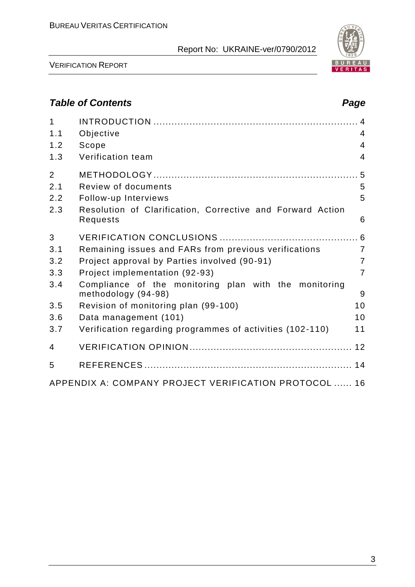

VERIFICATION REPORT

# *Table of Contents Page*

| $\mathbf{1}$<br>1.1 | Objective                                                                    | $\overline{4}$ |
|---------------------|------------------------------------------------------------------------------|----------------|
| 1.2                 | Scope                                                                        | $\overline{4}$ |
| 1.3                 | Verification team                                                            | $\overline{4}$ |
| $\overline{2}$      |                                                                              |                |
| 2.1                 | Review of documents                                                          | 5              |
| 2.2                 | Follow-up Interviews                                                         | 5              |
| 2.3                 | Resolution of Clarification, Corrective and Forward Action<br>Requests       | 6              |
| 3                   |                                                                              |                |
| 3.1                 | Remaining issues and FARs from previous verifications                        | $\overline{7}$ |
| 3.2                 | Project approval by Parties involved (90-91)                                 | $\overline{7}$ |
| 3.3                 | Project implementation (92-93)                                               | $\overline{7}$ |
| 3.4                 | Compliance of the monitoring plan with the monitoring<br>methodology (94-98) | 9              |
| 3.5                 | Revision of monitoring plan (99-100)                                         | 10             |
| 3.6                 | Data management (101)                                                        | 10             |
| 3.7                 | Verification regarding programmes of activities (102-110)                    | 11             |
| 4                   |                                                                              |                |
| 5                   |                                                                              |                |
|                     | APPENDIX A: COMPANY PROJECT VERIFICATION PROTOCOL  16                        |                |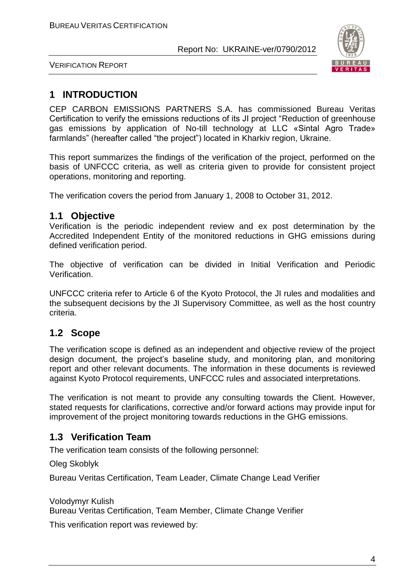

VERIFICATION REPORT

# **1 INTRODUCTION**

CEP CARBON EMISSIONS PARTNERS S.A. has commissioned Bureau Veritas Certification to verify the emissions reductions of its JI project "Reduction of greenhouse gas emissions by application of No-till technology at LLC «Sintal Agro Trade» farmlands" (hereafter called "the project") located in Kharkiv region, Ukraine.

This report summarizes the findings of the verification of the project, performed on the basis of UNFCCC criteria, as well as criteria given to provide for consistent project operations, monitoring and reporting.

The verification covers the period from January 1, 2008 to October 31, 2012.

### **1.1 Objective**

Verification is the periodic independent review and ex post determination by the Accredited Independent Entity of the monitored reductions in GHG emissions during defined verification period.

The objective of verification can be divided in Initial Verification and Periodic Verification.

UNFCCC criteria refer to Article 6 of the Kyoto Protocol, the JI rules and modalities and the subsequent decisions by the JI Supervisory Committee, as well as the host country criteria.

# **1.2 Scope**

The verification scope is defined as an independent and objective review of the project design document, the project's baseline study, and monitoring plan, and monitoring report and other relevant documents. The information in these documents is reviewed against Kyoto Protocol requirements, UNFCCC rules and associated interpretations.

The verification is not meant to provide any consulting towards the Client. However, stated requests for clarifications, corrective and/or forward actions may provide input for improvement of the project monitoring towards reductions in the GHG emissions.

# **1.3 Verification Team**

The verification team consists of the following personnel:

Oleg Skoblyk

Bureau Veritas Certification, Team Leader, Climate Change Lead Verifier

Volodymyr Kulish

Bureau Veritas Certification, Team Member, Climate Change Verifier

This verification report was reviewed by: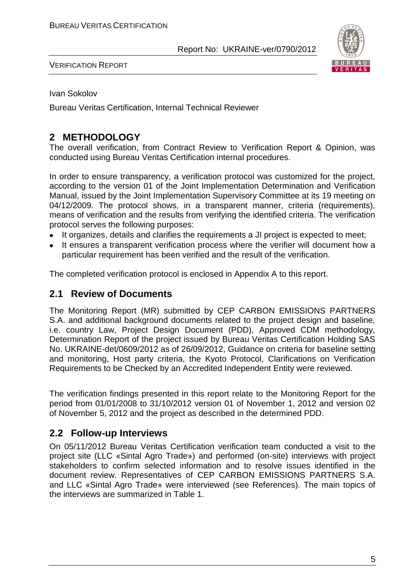

VERIFICATION REPORT

Ivan Sokolov

Bureau Veritas Certification, Internal Technical Reviewer

# **2 METHODOLOGY**

The overall verification, from Contract Review to Verification Report & Opinion, was conducted using Bureau Veritas Certification internal procedures.

In order to ensure transparency, a verification protocol was customized for the project, according to the version 01 of the Joint Implementation Determination and Verification Manual, issued by the Joint Implementation Supervisory Committee at its 19 meeting on 04/12/2009. The protocol shows, in a transparent manner, criteria (requirements), means of verification and the results from verifying the identified criteria. The verification protocol serves the following purposes:

- It organizes, details and clarifies the requirements a JI project is expected to meet;
- It ensures a transparent verification process where the verifier will document how a particular requirement has been verified and the result of the verification.

The completed verification protocol is enclosed in Appendix A to this report.

#### **2.1 Review of Documents**

The Monitoring Report (MR) submitted by CEP CARBON EMISSIONS PARTNERS S.A. and additional background documents related to the project design and baseline, i.e. country Law, Project Design Document (PDD), Approved CDM methodology, Determination Report of the project issued by Bureau Veritas Certification Holding SAS No. UKRAINE-det/0609/2012 as of 26/09/2012, Guidance on criteria for baseline setting and monitoring, Host party criteria, the Kyoto Protocol, Clarifications on Verification Requirements to be Checked by an Accredited Independent Entity were reviewed.

The verification findings presented in this report relate to the Monitoring Report for the period from 01/01/2008 to 31/10/2012 version 01 of November 1, 2012 and version 02 of November 5, 2012 and the project as described in the determined PDD.

### **2.2 Follow-up Interviews**

On 05/11/2012 Bureau Veritas Certification verification team conducted a visit to the project site (LLC «Sintal Agro Trade») and performed (on-site) interviews with project stakeholders to confirm selected information and to resolve issues identified in the document review. Representatives of CEP CARBON EMISSIONS PARTNERS S.A. and LLC «Sintal Agro Trade» were interviewed (see References). The main topics of the interviews are summarized in Table 1.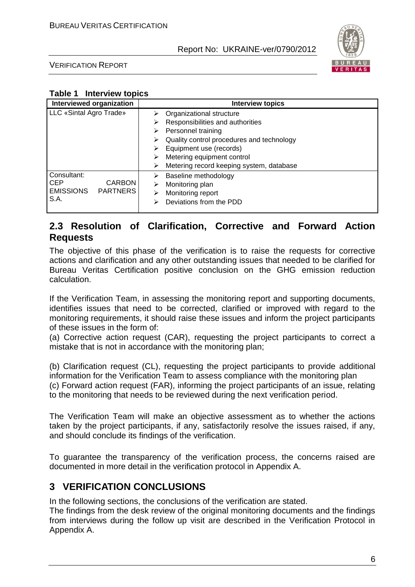

VERIFICATION REPORT

#### **Table 1 Interview topics**

| <b>Interviewed organization</b>                                                           | <b>Interview topics</b>                                                                                                                                                             |
|-------------------------------------------------------------------------------------------|-------------------------------------------------------------------------------------------------------------------------------------------------------------------------------------|
| LLC «Sintal Agro Trade»                                                                   | Organizational structure<br>⋗<br>Responsibilities and authorities<br>⋗<br>Personnel training<br>⋗<br>Quality control procedures and technology<br>⋗<br>Equipment use (records)<br>⋗ |
|                                                                                           | Metering equipment control<br>⋗<br>Metering record keeping system, database<br>⋗                                                                                                    |
| Consultant:<br><b>CEP</b><br><b>CARBON</b><br><b>EMISSIONS</b><br><b>PARTNERS</b><br>S.A. | Baseline methodology<br>⋗<br>Monitoring plan<br>⋗<br>Monitoring report<br>⋗<br>Deviations from the PDD<br>⋗                                                                         |

## **2.3 Resolution of Clarification, Corrective and Forward Action Requests**

The objective of this phase of the verification is to raise the requests for corrective actions and clarification and any other outstanding issues that needed to be clarified for Bureau Veritas Certification positive conclusion on the GHG emission reduction calculation.

If the Verification Team, in assessing the monitoring report and supporting documents, identifies issues that need to be corrected, clarified or improved with regard to the monitoring requirements, it should raise these issues and inform the project participants of these issues in the form of:

(a) Corrective action request (CAR), requesting the project participants to correct a mistake that is not in accordance with the monitoring plan;

(b) Clarification request (CL), requesting the project participants to provide additional information for the Verification Team to assess compliance with the monitoring plan (c) Forward action request (FAR), informing the project participants of an issue, relating to the monitoring that needs to be reviewed during the next verification period.

The Verification Team will make an objective assessment as to whether the actions taken by the project participants, if any, satisfactorily resolve the issues raised, if any, and should conclude its findings of the verification.

To guarantee the transparency of the verification process, the concerns raised are documented in more detail in the verification protocol in Appendix A.

# **3 VERIFICATION CONCLUSIONS**

In the following sections, the conclusions of the verification are stated.

The findings from the desk review of the original monitoring documents and the findings from interviews during the follow up visit are described in the Verification Protocol in Appendix A.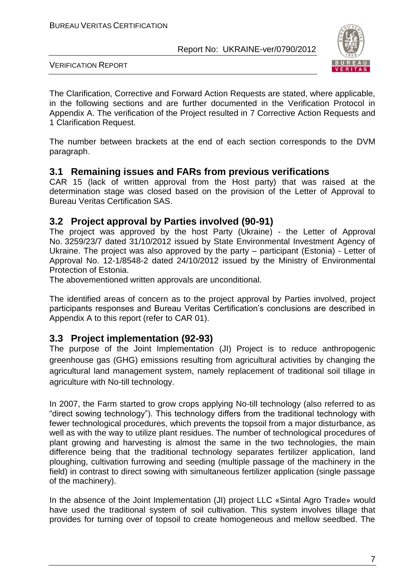

VERIFICATION REPORT

The Clarification, Corrective and Forward Action Requests are stated, where applicable, in the following sections and are further documented in the Verification Protocol in Appendix A. The verification of the Project resulted in 7 Corrective Action Requests and 1 Clarification Request.

The number between brackets at the end of each section corresponds to the DVM paragraph.

### **3.1 Remaining issues and FARs from previous verifications**

CAR 15 (lack of written approval from the Host party) that was raised at the determination stage was closed based on the provision of the Letter of Approval to Bureau Veritas Certification SAS.

#### **3.2 Project approval by Parties involved (90-91)**

The project was approved by the host Party (Ukraine) - the Letter of Approval No. 3259/23/7 dated 31/10/2012 issued by State Environmental Investment Agency of Ukraine. The project was also approved by the party – participant (Estonia) - Letter of Approval No. 12-1/8548-2 dated 24/10/2012 issued by the Ministry of Environmental Protection of Estonia.

The abovementioned written approvals are unconditional.

The identified areas of concern as to the project approval by Parties involved, project participants responses and Bureau Veritas Certification's conclusions are described in Appendix A to this report (refer to CAR 01).

### **3.3 Project implementation (92-93)**

The purpose of the Joint Implementation (JI) Project is to reduce anthropogenic greenhouse gas (GHG) emissions resulting from agricultural activities by changing the agricultural land management system, namely replacement of traditional soil tillage in agriculture with No-till technology.

In 2007, the Farm started to grow crops applying No-till technology (also referred to as "direct sowing technology"). This technology differs from the traditional technology with fewer technological procedures, which prevents the topsoil from a major disturbance, as well as with the way to utilize plant residues. The number of technological procedures of plant growing and harvesting is almost the same in the two technologies, the main difference being that the traditional technology separates fertilizer application, land ploughing, cultivation furrowing and seeding (multiple passage of the machinery in the field) in contrast to direct sowing with simultaneous fertilizer application (single passage of the machinery).

In the absence of the Joint Implementation (JI) project LLC «Sintal Agro Trade» would have used the traditional system of soil cultivation. This system involves tillage that provides for turning over of topsoil to create homogeneous and mellow seedbed. The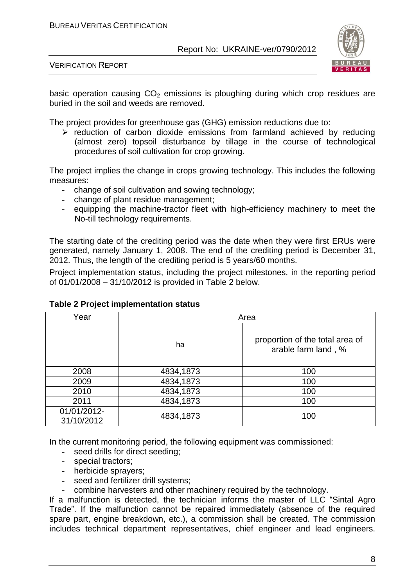

VERIFICATION REPORT

basic operation causing  $CO<sub>2</sub>$  emissions is ploughing during which crop residues are buried in the soil and weeds are removed.

The project provides for greenhouse gas (GHG) emission reductions due to:

 $\triangleright$  reduction of carbon dioxide emissions from farmland achieved by reducing (almost zero) topsoil disturbance by tillage in the course of technological procedures of soil cultivation for crop growing.

The project implies the change in crops growing technology. This includes the following measures:

- change of soil cultivation and sowing technology;
- change of plant residue management;
- equipping the machine-tractor fleet with high-efficiency machinery to meet the No-till technology requirements.

The starting date of the crediting period was the date when they were first ERUs were generated, namely January 1, 2008. The end of the crediting period is December 31, 2012. Thus, the length of the crediting period is 5 years/60 months.

Project implementation status, including the project milestones, in the reporting period of 01/01/2008 – 31/10/2012 is provided in Table 2 below.

| Year                      | Area      |                                                        |  |
|---------------------------|-----------|--------------------------------------------------------|--|
|                           | ha        | proportion of the total area of<br>arable farm land, % |  |
| 2008                      | 4834,1873 | 100                                                    |  |
| 2009                      | 4834,1873 | 100                                                    |  |
| 2010                      | 4834,1873 | 100                                                    |  |
| 2011                      | 4834,1873 | 100                                                    |  |
| 01/01/2012-<br>31/10/2012 | 4834,1873 | 100                                                    |  |

#### **Table 2 Project implementation status**

In the current monitoring period, the following equipment was commissioned:

- seed drills for direct seeding;
- special tractors;
- herbicide sprayers;
- seed and fertilizer drill systems;
- combine harvesters and other machinery required by the technology.

If a malfunction is detected, the technician informs the master of LLC "Sintal Agro Trade". If the malfunction cannot be repaired immediately (absence of the required spare part, engine breakdown, etc.), a commission shall be created. The commission includes technical department representatives, chief engineer and lead engineers.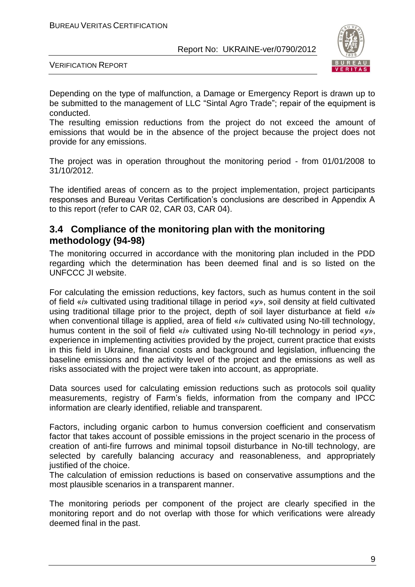

VERIFICATION REPORT

Depending on the type of malfunction, a Damage or Emergency Report is drawn up to be submitted to the management of LLC "Sintal Agro Trade"; repair of the equipment is conducted.

The resulting emission reductions from the project do not exceed the amount of emissions that would be in the absence of the project because the project does not provide for any emissions.

The project was in operation throughout the monitoring period - from 01/01/2008 to 31/10/2012.

The identified areas of concern as to the project implementation, project participants responses and Bureau Veritas Certification's conclusions are described in Appendix A to this report (refer to CAR 02, CAR 03, CAR 04).

## **3.4 Compliance of the monitoring plan with the monitoring methodology (94-98)**

The monitoring occurred in accordance with the monitoring plan included in the PDD regarding which the determination has been deemed final and is so listed on the UNFCCC JI website.

For calculating the emission reductions, key factors, such as humus content in the soil of field «*і*» cultivated using traditional tillage in period «*у*», soil density at field cultivated using traditional tillage prior to the project, depth of soil layer disturbance at field «*і*» when conventional tillage is applied, area of field «*і*» cultivated using No-till technology, humus content in the soil of field «*і*» cultivated using No-till technology in period «*у*», experience in implementing activities provided by the project, current practice that exists in this field in Ukraine, financial costs and background and legislation, influencing the baseline emissions and the activity level of the project and the emissions as well as risks associated with the project were taken into account, as appropriate.

Data sources used for calculating emission reductions such as protocols soil quality measurements, registry of Farm's fields, information from the company and IPCC information are clearly identified, reliable and transparent.

Factors, including organic carbon to humus conversion coefficient and conservatism factor that takes account of possible emissions in the project scenario in the process of creation of anti-fire furrows and minimal topsoil disturbance in No-till technology, are selected by carefully balancing accuracy and reasonableness, and appropriately justified of the choice.

The calculation of emission reductions is based on conservative assumptions and the most plausible scenarios in a transparent manner.

The monitoring periods per component of the project are clearly specified in the monitoring report and do not overlap with those for which verifications were already deemed final in the past.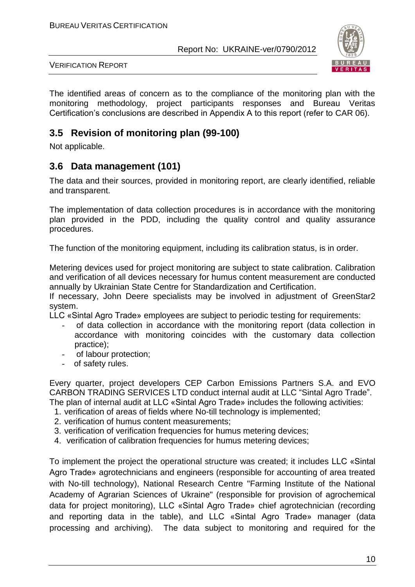

VERIFICATION REPORT

The identified areas of concern as to the compliance of the monitoring plan with the monitoring methodology, project participants responses and Bureau Veritas Certification's conclusions are described in Appendix A to this report (refer to CAR 06).

# **3.5 Revision of monitoring plan (99-100)**

Not applicable.

# **3.6 Data management (101)**

The data and their sources, provided in monitoring report, are clearly identified, reliable and transparent.

The implementation of data collection procedures is in accordance with the monitoring plan provided in the PDD, including the quality control and quality assurance procedures.

The function of the monitoring equipment, including its calibration status, is in order.

Metering devices used for project monitoring are subject to state calibration. Calibration and verification of all devices necessary for humus content measurement are conducted annually by Ukrainian State Centre for Standardization and Certification.

If necessary, John Deere specialists may be involved in adjustment of GreenStar2 system.

LLC «Sintal Agro Trade» employees are subject to periodic testing for requirements:

- of data collection in accordance with the monitoring report (data collection in accordance with monitoring coincides with the customary data collection practice);
- of labour protection;
- of safety rules.

Every quarter, project developers CEP Carbon Emissions Partners S.A. and EVO CARBON TRADING SERVICES LTD conduct internal audit at LLC "Sintal Agro Trade". The plan of internal audit at LLC «Sintal Agro Trade» includes the following activities:

- 1. verification of areas of fields where No-till technology is implemented;
- 2. verification of humus content measurements;
- 3. verification of verification frequencies for humus metering devices;
- 4. verification of calibration frequencies for humus metering devices;

To implement the project the operational structure was created; it includes LLC «Sintal Agro Trade» agrotechnicians and engineers (responsible for accounting of area treated with No-till technology), National Research Centre "Farming Institute of the National Academy of Agrarian Sciences of Ukraine" (responsible for provision of agrochemical data for project monitoring), LLC «Sintal Agro Trade» chief agrotechnician (recording and reporting data in the table), and LLC «Sintal Agro Trade» manager (data processing and archiving). The data subject to monitoring and required for the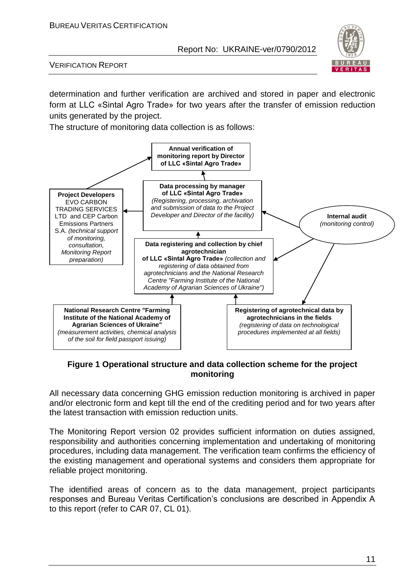

VERIFICATION REPORT

determination and further verification are archived and stored in paper and electronic form at LLC «Sintal Agro Trade» for two years after the transfer of emission reduction units generated by the project.

The structure of monitoring data collection is as follows:



**Figure 1 Operational structure and data collection scheme for the project monitoring**

All necessary data concerning GHG emission reduction monitoring is archived in paper and/or electronic form and kept till the end of the crediting period and for two years after the latest transaction with emission reduction units.

The Monitoring Report version 02 provides sufficient information on duties assigned, responsibility and authorities concerning implementation and undertaking of monitoring procedures, including data management. The verification team confirms the efficiency of the existing management and operational systems and considers them appropriate for reliable project monitoring.

The identified areas of concern as to the data management, project participants responses and Bureau Veritas Certification's conclusions are described in Appendix A to this report (refer to CAR 07, CL 01).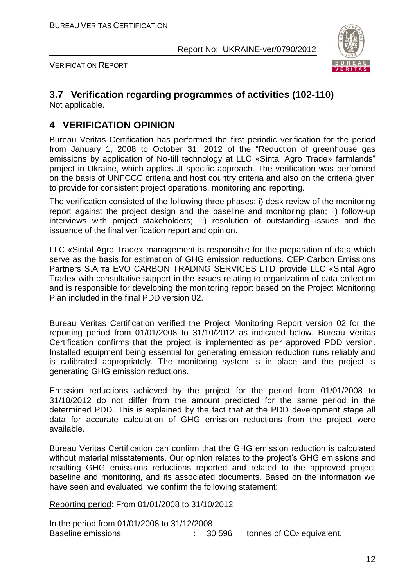

VERIFICATION REPORT

# **3.7 Verification regarding programmes of activities (102-110)**

Not applicable.

# **4 VERIFICATION OPINION**

Bureau Veritas Certification has performed the first periodic verification for the period from January 1, 2008 to October 31, 2012 of the "Reduction of greenhouse gas emissions by application of No-till technology at LLC «Sintal Agro Trade» farmlands" project in Ukraine, which applies JI specific approach. The verification was performed on the basis of UNFCCC criteria and host country criteria and also on the criteria given to provide for consistent project operations, monitoring and reporting.

The verification consisted of the following three phases: i) desk review of the monitoring report against the project design and the baseline and monitoring plan; ii) follow-up interviews with project stakeholders; iii) resolution of outstanding issues and the issuance of the final verification report and opinion.

LLC «Sintal Agro Trade» management is responsible for the preparation of data which serve as the basis for estimation of GHG emission reductions. CEP Carbon Emissions Partners S.A та EVO CARBON TRADING SERVICES LTD provide LLC «Sintal Agro Trade» with consultative support in the issues relating to organization of data collection and is responsible for developing the monitoring report based on the Project Monitoring Plan included in the final PDD version 02.

Bureau Veritas Certification verified the Project Monitoring Report version 02 for the reporting period from 01/01/2008 to 31/10/2012 as indicated below. Bureau Veritas Certification confirms that the project is implemented as per approved PDD version. Installed equipment being essential for generating emission reduction runs reliably and is calibrated appropriately. The monitoring system is in place and the project is generating GHG emission reductions.

Emission reductions achieved by the project for the period from 01/01/2008 to 31/10/2012 do not differ from the amount predicted for the same period in the determined PDD. This is explained by the fact that at the PDD development stage all data for accurate calculation of GHG emission reductions from the project were available.

Bureau Veritas Certification can confirm that the GHG emission reduction is calculated without material misstatements. Our opinion relates to the project's GHG emissions and resulting GHG emissions reductions reported and related to the approved project baseline and monitoring, and its associated documents. Based on the information we have seen and evaluated, we confirm the following statement:

Reporting period: From 01/01/2008 to 31/10/2012

In the period from 01/01/2008 to 31/12/2008 Baseline emissions **EXECUTE:**  $30\,596$  tonnes of CO<sub>2</sub> equivalent.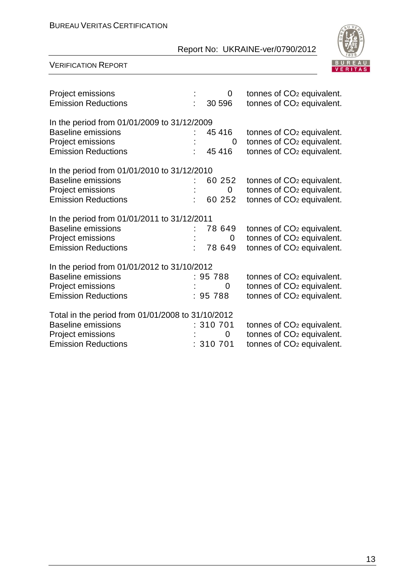#### BUREAU VERITAS CERTIFICATION

#### Report No: UKRAINE-ver/0790/2012



| Project emissions<br><b>Emission Reductions</b>                                                                                   | $\Omega$<br>30 596              | tonnes of CO <sub>2</sub> equivalent.<br>tonnes of CO <sub>2</sub> equivalent.                                          |
|-----------------------------------------------------------------------------------------------------------------------------------|---------------------------------|-------------------------------------------------------------------------------------------------------------------------|
| In the period from 01/01/2009 to 31/12/2009<br><b>Baseline emissions</b><br>Project emissions<br><b>Emission Reductions</b>       | 45 416<br>0<br>45 416           | tonnes of CO <sub>2</sub> equivalent.<br>tonnes of CO <sub>2</sub> equivalent.<br>tonnes of CO <sub>2</sub> equivalent. |
| In the period from 01/01/2010 to 31/12/2010<br><b>Baseline emissions</b><br>Project emissions<br><b>Emission Reductions</b>       | 60 252<br>0<br>60 252           | tonnes of CO <sub>2</sub> equivalent.<br>tonnes of CO <sub>2</sub> equivalent.<br>tonnes of CO <sub>2</sub> equivalent. |
| In the period from 01/01/2011 to 31/12/2011<br><b>Baseline emissions</b><br>Project emissions<br><b>Emission Reductions</b>       | 78 649<br>$\mathbf 0$<br>78 649 | tonnes of CO <sub>2</sub> equivalent.<br>tonnes of CO <sub>2</sub> equivalent.<br>tonnes of CO <sub>2</sub> equivalent. |
| In the period from 01/01/2012 to 31/10/2012<br><b>Baseline emissions</b><br>Project emissions<br><b>Emission Reductions</b>       | : 95788<br>0<br>: 95 788        | tonnes of CO <sub>2</sub> equivalent.<br>tonnes of CO <sub>2</sub> equivalent.<br>tonnes of CO <sub>2</sub> equivalent. |
| Total in the period from 01/01/2008 to 31/10/2012<br><b>Baseline emissions</b><br>Project emissions<br><b>Emission Reductions</b> | : 310 701<br>0<br>: 310701      | tonnes of CO <sub>2</sub> equivalent.<br>tonnes of CO <sub>2</sub> equivalent.<br>tonnes of CO <sub>2</sub> equivalent. |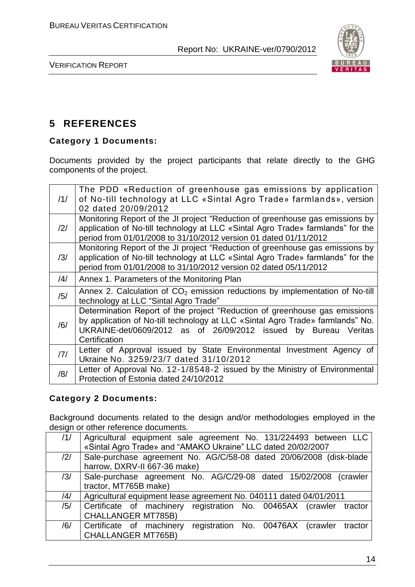

VERIFICATION REPORT

# **5 REFERENCES**

#### **Category 1 Documents:**

Documents provided by the project participants that relate directly to the GHG components of the project.

| /1/ | The PDD «Reduction of greenhouse gas emissions by application<br>of No-till technology at LLC «Sintal Agro Trade» farmlands», version<br>02 dated 20/09/2012                                                                                     |
|-----|--------------------------------------------------------------------------------------------------------------------------------------------------------------------------------------------------------------------------------------------------|
| /2/ | Monitoring Report of the JI project "Reduction of greenhouse gas emissions by<br>application of No-till technology at LLC «Sintal Agro Trade» farmlands" for the<br>period from 01/01/2008 to 31/10/2012 version 01 dated 01/11/2012             |
| /3/ | Monitoring Report of the JI project "Reduction of greenhouse gas emissions by<br>application of No-till technology at LLC «Sintal Agro Trade» farmlands" for the<br>period from 01/01/2008 to 31/10/2012 version 02 dated 05/11/2012             |
| /4/ | Annex 1. Parameters of the Monitoring Plan                                                                                                                                                                                                       |
| /5/ | Annex 2. Calculation of $CO2$ emission reductions by implementation of No-till<br>technology at LLC "Sintal Agro Trade"                                                                                                                          |
| /6/ | Determination Report of the project "Reduction of greenhouse gas emissions<br>by application of No-till technology at LLC «Sintal Agro Trade» farmlands" No.<br>UKRAINE-det/0609/2012 as of 26/09/2012 issued by Bureau Veritas<br>Certification |
| 7   | Letter of Approval issued by State Environmental Investment Agency of<br>Ukraine No. 3259/23/7 dated 31/10/2012                                                                                                                                  |
| /8/ | Letter of Approval No. 12-1/8548-2 issued by the Ministry of Environmental<br>Protection of Estonia dated 24/10/2012                                                                                                                             |

#### **Category 2 Documents:**

Background documents related to the design and/or methodologies employed in the design or other reference documents.

| /1/            | Agricultural equipment sale agreement No. 131/224493 between LLC         |
|----------------|--------------------------------------------------------------------------|
|                | «Sintal Agro Trade» and "AMAKO Ukraine" LLC dated 20/02/2007             |
| $\frac{12}{1}$ | Sale-purchase agreement No. AG/C/58-08 dated 20/06/2008 (disk-blade      |
|                | harrow, DXRV-II 667-36 make)                                             |
| /3/            | Sale-purchase agreement No. AG/C/29-08 dated 15/02/2008 (crawler         |
|                | tractor, MT765B make)                                                    |
| $\frac{14}{3}$ | Agricultural equipment lease agreement No. 040111 dated 04/01/2011       |
| /5/            | Certificate of machinery registration No. 00465AX (crawler tractor       |
|                | <b>CHALLANGER MT785B)</b>                                                |
| /6/            | Certificate of machinery<br>registration No. 00476AX (crawler<br>tractor |
|                | <b>CHALLANGER MT765B)</b>                                                |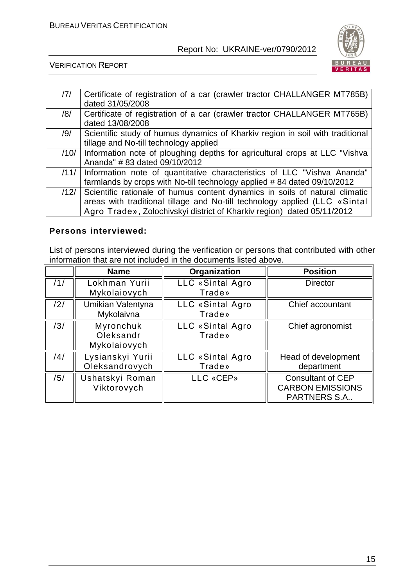

VERIFICATION REPORT

| 7    | Certificate of registration of a car (crawler tractor CHALLANGER MT785B)      |
|------|-------------------------------------------------------------------------------|
|      | dated 31/05/2008                                                              |
| /8/  | Certificate of registration of a car (crawler tractor CHALLANGER MT765B)      |
|      | dated 13/08/2008                                                              |
| /9/  | Scientific study of humus dynamics of Kharkiv region in soil with traditional |
|      | tillage and No-till technology applied                                        |
| /10/ | Information note of ploughing depths for agricultural crops at LLC "Vishva"   |
|      | Ananda" #83 dated 09/10/2012                                                  |
| /11/ | Information note of quantitative characteristics of LLC "Vishva Ananda"       |
|      | farmlands by crops with No-till technology applied #84 dated 09/10/2012       |
| /12/ | Scientific rationale of humus content dynamics in soils of natural climatic   |
|      | areas with traditional tillage and No-till technology applied (LLC «Sintal    |
|      | Agro Trade», Zolochivskyi district of Kharkiv region) dated 05/11/2012        |

#### **Persons interviewed:**

List of persons interviewed during the verification or persons that contributed with other information that are not included in the documents listed above.

|     | <b>Name</b>                            | Organization               | <b>Position</b>                                                            |
|-----|----------------------------------------|----------------------------|----------------------------------------------------------------------------|
| /1/ | Lokhman Yurii<br>Mykolaiovych          | LLC «Sintal Agro<br>Trade» | <b>Director</b>                                                            |
| /2/ | Umikian Valentyna<br>Mykolaivna        | LLC «Sintal Agro<br>Trade» | Chief accountant                                                           |
| /3/ | Myronchuk<br>Oleksandr<br>Mykolaiovych | LLC «Sintal Agro<br>Trade» | Chief agronomist                                                           |
| /4/ | Lysianskyi Yurii<br>Oleksandrovych     | LLC «Sintal Agro<br>Trade» | Head of development<br>department                                          |
| /5/ | Ushatskyi Roman<br>Viktorovych         | LLC «CEP»                  | <b>Consultant of CEP</b><br><b>CARBON EMISSIONS</b><br><b>PARTNERS S.A</b> |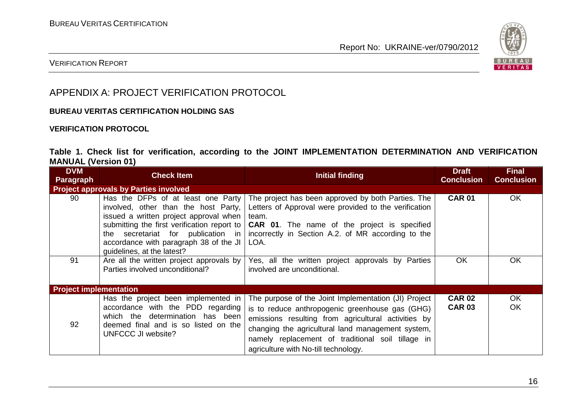

#### VERIFICATION REPORT

# APPENDIX A: PROJECT VERIFICATION PROTOCOL

#### **BUREAU VERITAS CERTIFICATION HOLDING SAS**

#### **VERIFICATION PROTOCOL**

#### **Table 1. Check list for verification, according to the JOINT IMPLEMENTATION DETERMINATION AND VERIFICATION MANUAL (Version 01)**

| <b>DVM</b><br>Paragraph                      | <b>Check Item</b>                                                                                                                                                                                                                                                                    | <b>Initial finding</b>                                                                                                                                                                                                                                                                                           | <b>Draft</b><br><b>Conclusion</b> | <b>Final</b><br><b>Conclusion</b> |
|----------------------------------------------|--------------------------------------------------------------------------------------------------------------------------------------------------------------------------------------------------------------------------------------------------------------------------------------|------------------------------------------------------------------------------------------------------------------------------------------------------------------------------------------------------------------------------------------------------------------------------------------------------------------|-----------------------------------|-----------------------------------|
| <b>Project approvals by Parties involved</b> |                                                                                                                                                                                                                                                                                      |                                                                                                                                                                                                                                                                                                                  |                                   |                                   |
| 90                                           | Has the DFPs of at least one Party<br>involved, other than the host Party,<br>issued a written project approval when<br>submitting the first verification report to<br>secretariat for publication in<br>the<br>accordance with paragraph 38 of the JI<br>quidelines, at the latest? | The project has been approved by both Parties. The<br>Letters of Approval were provided to the verification<br>team.<br><b>CAR 01.</b> The name of the project is specified<br>incorrectly in Section A.2. of MR according to the<br>LOA.                                                                        | <b>CAR 01</b>                     | OK.                               |
| 91                                           | Are all the written project approvals by<br>Parties involved unconditional?                                                                                                                                                                                                          | Yes, all the written project approvals by Parties<br>involved are unconditional.                                                                                                                                                                                                                                 | <b>OK</b>                         | OK                                |
| <b>Project implementation</b>                |                                                                                                                                                                                                                                                                                      |                                                                                                                                                                                                                                                                                                                  |                                   |                                   |
| 92                                           | Has the project been implemented in<br>accordance with the PDD regarding<br>which the determination has been<br>deemed final and is so listed on the<br>UNFCCC JI website?                                                                                                           | The purpose of the Joint Implementation (JI) Project<br>is to reduce anthropogenic greenhouse gas (GHG)<br>emissions resulting from agricultural activities by<br>changing the agricultural land management system,<br>namely replacement of traditional soil tillage in<br>agriculture with No-till technology. | <b>CAR 02</b><br><b>CAR 03</b>    | <b>OK</b><br><b>OK</b>            |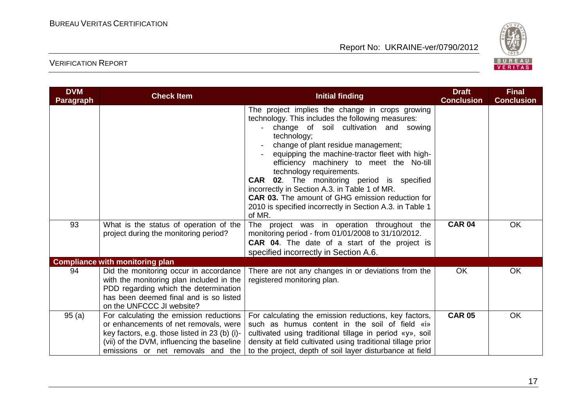

| <b>DVM</b>       | <b>Check Item</b>                                                                                                                                                                                                    | <b>Initial finding</b>                                                                                                                                                                                                                                                                                                                                                                                                                                                                                                                                                  | <b>Draft</b><br><b>Conclusion</b> | <b>Final</b><br><b>Conclusion</b> |
|------------------|----------------------------------------------------------------------------------------------------------------------------------------------------------------------------------------------------------------------|-------------------------------------------------------------------------------------------------------------------------------------------------------------------------------------------------------------------------------------------------------------------------------------------------------------------------------------------------------------------------------------------------------------------------------------------------------------------------------------------------------------------------------------------------------------------------|-----------------------------------|-----------------------------------|
| <b>Paragraph</b> |                                                                                                                                                                                                                      | The project implies the change in crops growing<br>technology. This includes the following measures:<br>change of soil cultivation and sowing<br>technology;<br>change of plant residue management;<br>equipping the machine-tractor fleet with high-<br>efficiency machinery to meet the No-till<br>technology requirements.<br>02. The monitoring period is specified<br><b>CAR</b><br>incorrectly in Section A.3. in Table 1 of MR.<br><b>CAR 03.</b> The amount of GHG emission reduction for<br>2010 is specified incorrectly in Section A.3. in Table 1<br>of MR. |                                   |                                   |
| 93               | What is the status of operation of the<br>project during the monitoring period?                                                                                                                                      | The project was in operation throughout the<br>monitoring period - from 01/01/2008 to 31/10/2012.<br><b>CAR 04.</b> The date of a start of the project is<br>specified incorrectly in Section A.6.                                                                                                                                                                                                                                                                                                                                                                      | <b>CAR 04</b>                     | OK                                |
|                  | <b>Compliance with monitoring plan</b>                                                                                                                                                                               |                                                                                                                                                                                                                                                                                                                                                                                                                                                                                                                                                                         |                                   |                                   |
| 94               | Did the monitoring occur in accordance<br>with the monitoring plan included in the<br>PDD regarding which the determination<br>has been deemed final and is so listed<br>on the UNFCCC JI website?                   | There are not any changes in or deviations from the<br>registered monitoring plan.                                                                                                                                                                                                                                                                                                                                                                                                                                                                                      | OK                                | OK                                |
| 95(a)            | For calculating the emission reductions<br>or enhancements of net removals, were<br>key factors, e.g. those listed in 23 (b) (i)-<br>(vii) of the DVM, influencing the baseline<br>emissions or net removals and the | For calculating the emission reductions, key factors,<br>such as humus content in the soil of field «i»<br>cultivated using traditional tillage in period «y», soil<br>density at field cultivated using traditional tillage prior<br>to the project, depth of soil layer disturbance at field                                                                                                                                                                                                                                                                          | <b>CAR 05</b>                     | <b>OK</b>                         |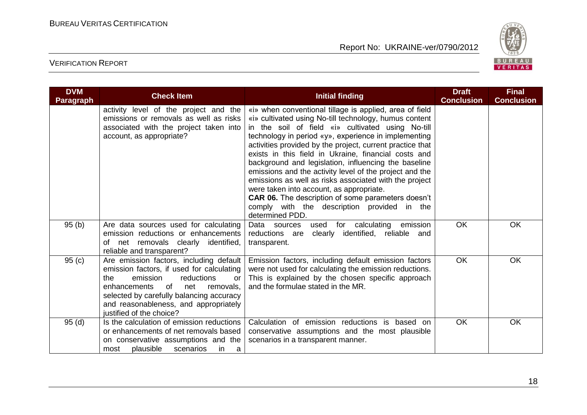

| <b>DVM</b><br>Paragraph | <b>Check Item</b>                                                                                                                                                                                                                                                                      | Initial finding                                                                                                                                                                                                                                                                                                                                                                                                                                                                                                                                                                                                                                                                                      | <b>Draft</b><br><b>Conclusion</b> | <b>Final</b><br><b>Conclusion</b> |
|-------------------------|----------------------------------------------------------------------------------------------------------------------------------------------------------------------------------------------------------------------------------------------------------------------------------------|------------------------------------------------------------------------------------------------------------------------------------------------------------------------------------------------------------------------------------------------------------------------------------------------------------------------------------------------------------------------------------------------------------------------------------------------------------------------------------------------------------------------------------------------------------------------------------------------------------------------------------------------------------------------------------------------------|-----------------------------------|-----------------------------------|
|                         | activity level of the project and the<br>emissions or removals as well as risks<br>associated with the project taken into<br>account, as appropriate?                                                                                                                                  | «i» when conventional tillage is applied, area of field<br>«i» cultivated using No-till technology, humus content<br>in the soil of field «i» cultivated using No-till<br>technology in period «y», experience in implementing<br>activities provided by the project, current practice that<br>exists in this field in Ukraine, financial costs and<br>background and legislation, influencing the baseline<br>emissions and the activity level of the project and the<br>emissions as well as risks associated with the project<br>were taken into account, as appropriate.<br>CAR 06. The description of some parameters doesn't<br>comply with the description provided in the<br>determined PDD. |                                   |                                   |
| 95(b)                   | Are data sources used for calculating<br>emission reductions or enhancements<br>net removals clearly identified,<br>of<br>reliable and transparent?                                                                                                                                    | for calculating<br>emission<br>Data sources<br>used<br>clearly identified, reliable and<br>reductions are<br>transparent.                                                                                                                                                                                                                                                                                                                                                                                                                                                                                                                                                                            | OK                                | OK                                |
| 95(c)                   | Are emission factors, including default<br>emission factors, if used for calculating<br>reductions<br>the<br>emission<br>or<br>of<br>enhancements<br>net<br>removals,<br>selected by carefully balancing accuracy<br>and reasonableness, and appropriately<br>justified of the choice? | Emission factors, including default emission factors<br>were not used for calculating the emission reductions.<br>This is explained by the chosen specific approach<br>and the formulae stated in the MR.                                                                                                                                                                                                                                                                                                                                                                                                                                                                                            | <b>OK</b>                         | <b>OK</b>                         |
| 95(d)                   | Is the calculation of emission reductions<br>or enhancements of net removals based<br>on conservative assumptions and the<br>plausible<br>scenarios<br>in<br>most<br>a                                                                                                                 | Calculation of emission reductions is based on<br>conservative assumptions and the most plausible<br>scenarios in a transparent manner.                                                                                                                                                                                                                                                                                                                                                                                                                                                                                                                                                              | <b>OK</b>                         | OK                                |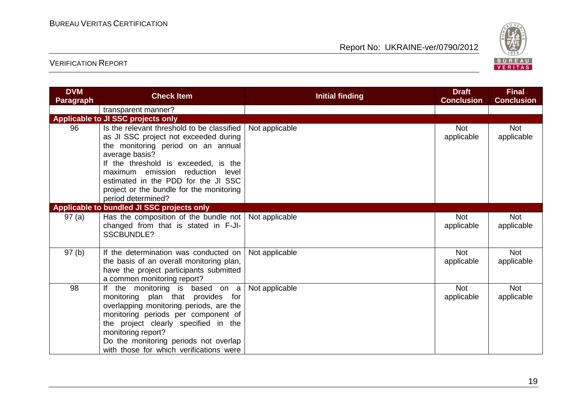

| <b>DVM</b><br><b>Paragraph</b> | <b>Check Item</b>                                                                                                                                                                                                                                                                                                                | <b>Initial finding</b> | <b>Draft</b><br><b>Conclusion</b> | <b>Final</b><br><b>Conclusion</b> |
|--------------------------------|----------------------------------------------------------------------------------------------------------------------------------------------------------------------------------------------------------------------------------------------------------------------------------------------------------------------------------|------------------------|-----------------------------------|-----------------------------------|
|                                | transparent manner?                                                                                                                                                                                                                                                                                                              |                        |                                   |                                   |
|                                | Applicable to JI SSC projects only                                                                                                                                                                                                                                                                                               |                        |                                   |                                   |
| 96                             | Is the relevant threshold to be classified<br>as JI SSC project not exceeded during<br>the monitoring period on an annual<br>average basis?<br>If the threshold is exceeded, is the<br>maximum emission reduction level<br>estimated in the PDD for the JI SSC<br>project or the bundle for the monitoring<br>period determined? | Not applicable         | <b>Not</b><br>applicable          | <b>Not</b><br>applicable          |
|                                | Applicable to bundled JI SSC projects only                                                                                                                                                                                                                                                                                       |                        |                                   |                                   |
| 97(a)                          | Has the composition of the bundle not   Not applicable<br>changed from that is stated in F-JI-<br><b>SSCBUNDLE?</b>                                                                                                                                                                                                              |                        | <b>Not</b><br>applicable          | <b>Not</b><br>applicable          |
| 97(b)                          | If the determination was conducted on<br>the basis of an overall monitoring plan,<br>have the project participants submitted<br>a common monitoring report?                                                                                                                                                                      | Not applicable         | <b>Not</b><br>applicable          | <b>Not</b><br>applicable          |
| 98                             | the monitoring is based on a<br>lf.<br>monitoring plan that provides for<br>overlapping monitoring periods, are the<br>monitoring periods per component of<br>the project clearly specified in the<br>monitoring report?<br>Do the monitoring periods not overlap<br>with those for which verifications were                     | Not applicable         | <b>Not</b><br>applicable          | <b>Not</b><br>applicable          |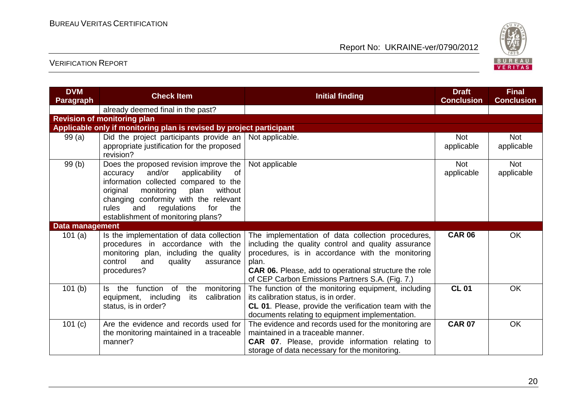

| <b>DVM</b><br><b>Paragraph</b> | <b>Check Item</b>                                                                                                                                                                                                                                                                                     | <b>Initial finding</b>                                                                                                                                                                                                                                                                   | <b>Draft</b><br><b>Conclusion</b> | <b>Final</b><br><b>Conclusion</b> |
|--------------------------------|-------------------------------------------------------------------------------------------------------------------------------------------------------------------------------------------------------------------------------------------------------------------------------------------------------|------------------------------------------------------------------------------------------------------------------------------------------------------------------------------------------------------------------------------------------------------------------------------------------|-----------------------------------|-----------------------------------|
|                                | already deemed final in the past?                                                                                                                                                                                                                                                                     |                                                                                                                                                                                                                                                                                          |                                   |                                   |
|                                | <b>Revision of monitoring plan</b>                                                                                                                                                                                                                                                                    |                                                                                                                                                                                                                                                                                          |                                   |                                   |
|                                | Applicable only if monitoring plan is revised by project participant                                                                                                                                                                                                                                  |                                                                                                                                                                                                                                                                                          |                                   |                                   |
| 99 (a)                         | Did the project participants provide an  <br>appropriate justification for the proposed<br>revision?                                                                                                                                                                                                  | Not applicable.                                                                                                                                                                                                                                                                          | <b>Not</b><br>applicable          | <b>Not</b><br>applicable          |
| 99(b)                          | Does the proposed revision improve the<br>and/or<br>applicability<br>0f<br>accuracy<br>information collected compared to the<br>monitoring<br>plan<br>without<br>original<br>changing conformity with the relevant<br>rules<br>and<br>regulations<br>for<br>the<br>establishment of monitoring plans? | Not applicable                                                                                                                                                                                                                                                                           | <b>Not</b><br>applicable          | <b>Not</b><br>applicable          |
| Data management                |                                                                                                                                                                                                                                                                                                       |                                                                                                                                                                                                                                                                                          |                                   |                                   |
| 101 $(a)$                      | Is the implementation of data collection<br>procedures in accordance with the<br>monitoring plan, including the quality<br>control<br>quality<br>and<br>assurance<br>procedures?                                                                                                                      | The implementation of data collection procedures,<br>including the quality control and quality assurance<br>procedures, is in accordance with the monitoring<br>plan.<br><b>CAR 06.</b> Please, add to operational structure the role<br>of CEP Carbon Emissions Partners S.A. (Fig. 7.) | <b>CAR 06</b>                     | OK                                |
| 101(b)                         | function<br>of<br>the<br>monitoring<br>the<br>ls.<br>calibration<br>equipment, including<br>its<br>status, is in order?                                                                                                                                                                               | The function of the monitoring equipment, including<br>its calibration status, is in order.<br>CL 01. Please, provide the verification team with the<br>documents relating to equipment implementation.                                                                                  | <b>CL 01</b>                      | OK                                |
| 101 $(c)$                      | Are the evidence and records used for<br>the monitoring maintained in a traceable<br>manner?                                                                                                                                                                                                          | The evidence and records used for the monitoring are<br>maintained in a traceable manner.<br><b>CAR 07.</b> Please, provide information relating to<br>storage of data necessary for the monitoring.                                                                                     | <b>CAR 07</b>                     | <b>OK</b>                         |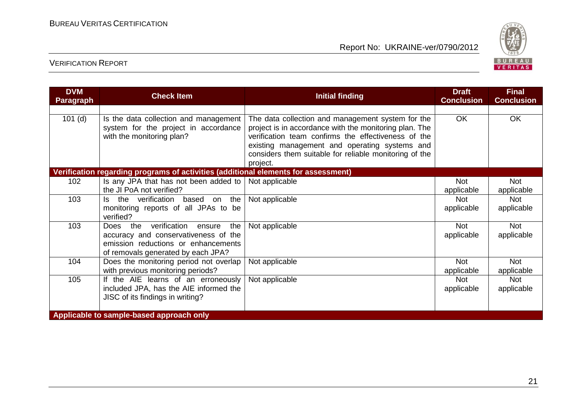

| <b>DVM</b><br><b>Paragraph</b> | <b>Check Item</b>                                                                                          | <b>Initial finding</b>                                                                                                                                                                                                                                                                    | <b>Draft</b><br><b>Conclusion</b> | <b>Final</b><br><b>Conclusion</b> |
|--------------------------------|------------------------------------------------------------------------------------------------------------|-------------------------------------------------------------------------------------------------------------------------------------------------------------------------------------------------------------------------------------------------------------------------------------------|-----------------------------------|-----------------------------------|
|                                |                                                                                                            |                                                                                                                                                                                                                                                                                           |                                   |                                   |
| $101$ (d)                      | Is the data collection and management<br>system for the project in accordance<br>with the monitoring plan? | The data collection and management system for the<br>project is in accordance with the monitoring plan. The<br>verification team confirms the effectiveness of the<br>existing management and operating systems and<br>considers them suitable for reliable monitoring of the<br>project. | <b>OK</b>                         | <b>OK</b>                         |
|                                | Verification regarding programs of activities (additional elements for assessment)                         |                                                                                                                                                                                                                                                                                           |                                   |                                   |
| 102                            | Is any JPA that has not been added to $\vert$ Not applicable                                               |                                                                                                                                                                                                                                                                                           | <b>Not</b>                        | <b>Not</b>                        |
|                                | the JI PoA not verified?                                                                                   |                                                                                                                                                                                                                                                                                           | applicable                        | applicable                        |
| 103                            | the verification<br>based<br>the<br>on<br>ls.                                                              | Not applicable                                                                                                                                                                                                                                                                            | <b>Not</b>                        | <b>Not</b>                        |
|                                | monitoring reports of all JPAs to be<br>verified?                                                          |                                                                                                                                                                                                                                                                                           | applicable                        | applicable                        |
| 103                            | the verification<br>Does<br>the<br>ensure                                                                  | Not applicable                                                                                                                                                                                                                                                                            | Not                               | <b>Not</b>                        |
|                                | accuracy and conservativeness of the                                                                       |                                                                                                                                                                                                                                                                                           | applicable                        | applicable                        |
|                                | emission reductions or enhancements<br>of removals generated by each JPA?                                  |                                                                                                                                                                                                                                                                                           |                                   |                                   |
| 104                            | Does the monitoring period not overlap<br>with previous monitoring periods?                                | Not applicable                                                                                                                                                                                                                                                                            | Not<br>applicable                 | <b>Not</b><br>applicable          |
| 105                            | If the AIE learns of an erroneously                                                                        | Not applicable                                                                                                                                                                                                                                                                            | <b>Not</b>                        | <b>Not</b>                        |
|                                | included JPA, has the AIE informed the                                                                     |                                                                                                                                                                                                                                                                                           | applicable                        | applicable                        |
|                                | JISC of its findings in writing?                                                                           |                                                                                                                                                                                                                                                                                           |                                   |                                   |
|                                | Applicable to sample-based approach only                                                                   |                                                                                                                                                                                                                                                                                           |                                   |                                   |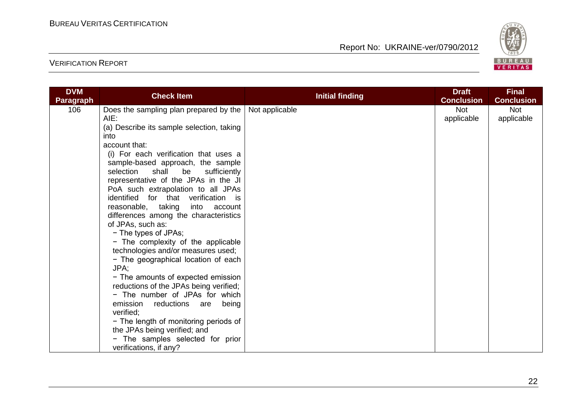

| <b>DVM</b>       | <b>Check Item</b>                                                                                                                                                                                                                                                                                                                                                                                                                                                                                                                                                                                                                                                                                                                                                                                                                                                         |                                          | <b>Draft</b>             | <b>Final</b>             |
|------------------|---------------------------------------------------------------------------------------------------------------------------------------------------------------------------------------------------------------------------------------------------------------------------------------------------------------------------------------------------------------------------------------------------------------------------------------------------------------------------------------------------------------------------------------------------------------------------------------------------------------------------------------------------------------------------------------------------------------------------------------------------------------------------------------------------------------------------------------------------------------------------|------------------------------------------|--------------------------|--------------------------|
| <b>Paragraph</b> |                                                                                                                                                                                                                                                                                                                                                                                                                                                                                                                                                                                                                                                                                                                                                                                                                                                                           |                                          | <b>Conclusion</b>        | <b>Conclusion</b>        |
| 106              | Does the sampling plan prepared by the<br>AIE:<br>(a) Describe its sample selection, taking<br>into<br>account that:<br>(i) For each verification that uses a<br>sample-based approach, the sample<br>selection<br>shall be<br>sufficiently<br>representative of the JPAs in the JI<br>PoA such extrapolation to all JPAs<br>identified for that verification is<br>reasonable, taking<br>into account<br>differences among the characteristics<br>of JPAs, such as:<br>- The types of JPAs;<br>- The complexity of the applicable<br>technologies and/or measures used;<br>- The geographical location of each<br>JPA;<br>- The amounts of expected emission<br>reductions of the JPAs being verified;<br>- The number of JPAs for which<br>emission<br>reductions<br>being<br>are<br>verified;<br>- The length of monitoring periods of<br>the JPAs being verified; and | <b>Initial finding</b><br>Not applicable | <b>Not</b><br>applicable | <b>Not</b><br>applicable |
|                  | - The samples selected for prior<br>verifications, if any?                                                                                                                                                                                                                                                                                                                                                                                                                                                                                                                                                                                                                                                                                                                                                                                                                |                                          |                          |                          |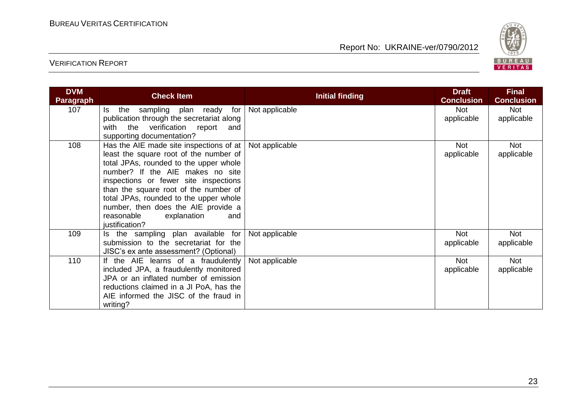

| <b>DVM</b><br><b>Paragraph</b> | <b>Check Item</b>                                                                                                                                                                                                                                                                                                                                                                            | Initial finding | <b>Draft</b><br><b>Conclusion</b> | <b>Final</b><br><b>Conclusion</b> |
|--------------------------------|----------------------------------------------------------------------------------------------------------------------------------------------------------------------------------------------------------------------------------------------------------------------------------------------------------------------------------------------------------------------------------------------|-----------------|-----------------------------------|-----------------------------------|
| 107                            | Is the sampling plan ready for<br>publication through the secretariat along<br>with the verification report<br>and<br>supporting documentation?                                                                                                                                                                                                                                              | Not applicable  | <b>Not</b><br>applicable          | Not<br>applicable                 |
| 108                            | Has the AIE made site inspections of at $ $<br>least the square root of the number of<br>total JPAs, rounded to the upper whole<br>number? If the AIE makes no site<br>inspections or fewer site inspections<br>than the square root of the number of<br>total JPAs, rounded to the upper whole<br>number, then does the AIE provide a<br>reasonable<br>explanation<br>and<br>justification? | Not applicable  | <b>Not</b><br>applicable          | Not<br>applicable                 |
| 109                            | Is the sampling plan available for<br>submission to the secretariat for the<br>JISC's ex ante assessment? (Optional)                                                                                                                                                                                                                                                                         | Not applicable  | <b>Not</b><br>applicable          | Not<br>applicable                 |
| 110                            | If the AIE learns of a fraudulently<br>included JPA, a fraudulently monitored<br>JPA or an inflated number of emission<br>reductions claimed in a JI PoA, has the<br>AIE informed the JISC of the fraud in<br>writing?                                                                                                                                                                       | Not applicable  | <b>Not</b><br>applicable          | Not<br>applicable                 |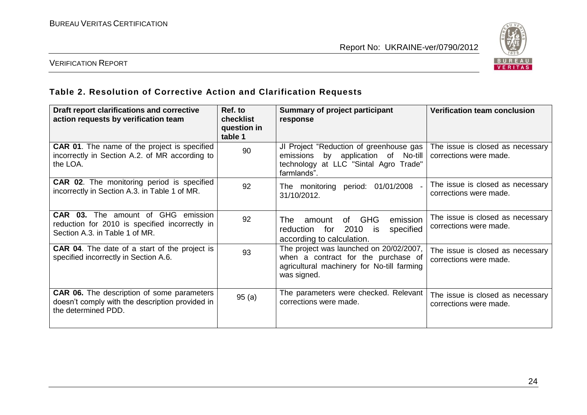

#### VERIFICATION REPORT

# **Table 2. Resolution of Corrective Action and Clarification Requests**

| Draft report clarifications and corrective<br>action requests by verification team                                            | Ref. to<br>checklist<br>question in<br>table 1 | <b>Summary of project participant</b><br>response                                                                                           | Verification team conclusion                               |
|-------------------------------------------------------------------------------------------------------------------------------|------------------------------------------------|---------------------------------------------------------------------------------------------------------------------------------------------|------------------------------------------------------------|
| <b>CAR 01.</b> The name of the project is specified<br>incorrectly in Section A.2. of MR according to<br>the LOA.             | 90                                             | JI Project "Reduction of greenhouse gas<br>by application of No-till<br>emissions<br>technology at LLC "Sintal Agro Trade"<br>farmlands".   | The issue is closed as necessary<br>corrections were made. |
| CAR 02. The monitoring period is specified<br>incorrectly in Section A.3. in Table 1 of MR.                                   | 92                                             | The monitoring period: 01/01/2008<br>31/10/2012.                                                                                            | The issue is closed as necessary<br>corrections were made. |
| <b>CAR 03.</b> The amount of GHG emission<br>reduction for 2010 is specified incorrectly in<br>Section A.3. in Table 1 of MR. | 92                                             | <b>GHG</b><br>emission<br>The<br>of l<br>amount<br>2010<br>for<br>specified<br>reduction<br>is.<br>according to calculation.                | The issue is closed as necessary<br>corrections were made. |
| <b>CAR 04.</b> The date of a start of the project is<br>specified incorrectly in Section A.6.                                 | 93                                             | The project was launched on 20/02/2007,<br>when a contract for the purchase of<br>agricultural machinery for No-till farming<br>was signed. | The issue is closed as necessary<br>corrections were made. |
| <b>CAR 06.</b> The description of some parameters<br>doesn't comply with the description provided in<br>the determined PDD.   | 95(a)                                          | The parameters were checked. Relevant<br>corrections were made.                                                                             | The issue is closed as necessary<br>corrections were made. |